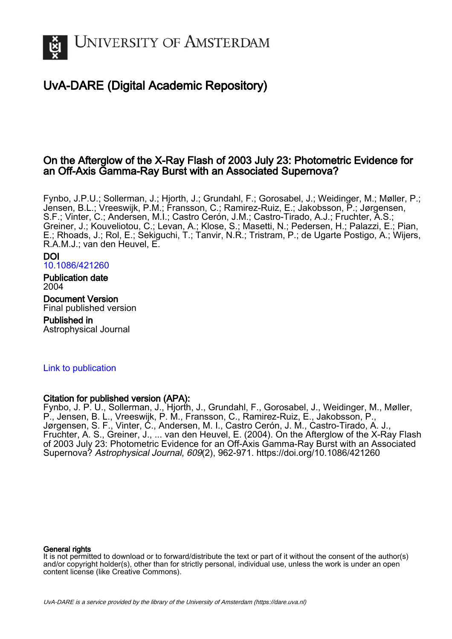

# UvA-DARE (Digital Academic Repository)

## On the Afterglow of the X-Ray Flash of 2003 July 23: Photometric Evidence for an Off-Axis Gamma-Ray Burst with an Associated Supernova?

Fynbo, J.P.U.; Sollerman, J.; Hjorth, J.; Grundahl, F.; Gorosabel, J.; Weidinger, M.; Møller, P.; Jensen, B.L.; Vreeswijk, P.M.; Fransson, C.; Ramirez-Ruiz, E.; Jakobsson, P.; Jørgensen, S.F.; Vinter, C.; Andersen, M.I.; Castro Cerón, J.M.; Castro-Tirado, A.J.; Fruchter, A.S.; Greiner, J.; Kouveliotou, C.; Levan, A.; Klose, S.; Masetti, N.; Pedersen, H.; Palazzi, E.; Pian, E.; Rhoads, J.; Rol, E.; Sekiguchi, T.; Tanvir, N.R.; Tristram, P.; de Ugarte Postigo, A.; Wijers, R.A.M.J.; van den Heuvel, E.

## DOI [10.1086/421260](https://doi.org/10.1086/421260)

Publication date 2004

Document Version Final published version

Published in Astrophysical Journal

## [Link to publication](https://dare.uva.nl/personal/pure/en/publications/on-the-afterglow-of-the-xray-flash-of-2003-july-23-photometric-evidence-for-an-offaxis-gammaray-burst-with-an-associated-supernova(8da0a174-9a36-470e-8798-96c73efe1d51).html)

## Citation for published version (APA):

Fynbo, J. P. U., Sollerman, J., Hjorth, J., Grundahl, F., Gorosabel, J., Weidinger, M., Møller, P., Jensen, B. L., Vreeswijk, P. M., Fransson, C., Ramirez-Ruiz, E., Jakobsson, P., Jørgensen, S. F., Vinter, C., Andersen, M. I., Castro Cerón, J. M., Castro-Tirado, A. J., Fruchter, A. S., Greiner, J., ... van den Heuvel, E. (2004). On the Afterglow of the X-Ray Flash of 2003 July 23: Photometric Evidence for an Off-Axis Gamma-Ray Burst with an Associated Supernova? Astrophysical Journal, 609(2), 962-971. <https://doi.org/10.1086/421260>

## General rights

It is not permitted to download or to forward/distribute the text or part of it without the consent of the author(s) and/or copyright holder(s), other than for strictly personal, individual use, unless the work is under an open content license (like Creative Commons).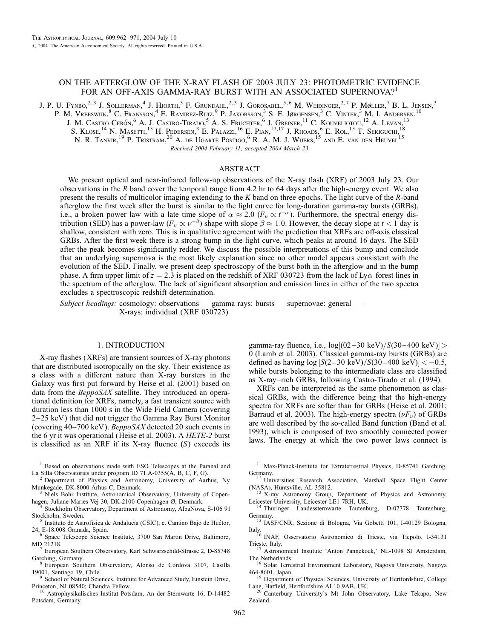## ON THE AFTERGLOW OF THE X-RAY FLASH OF 2003 JULY 23: PHOTOMETRIC EVIDENCE FOR AN OFF-AXIS GAMMA-RAY BURST WITH AN ASSOCIATED SUPERNOVA?<sup>1</sup>

J. P. U. Fynbo,<sup>2,3</sup> J. Sollerman,<sup>4</sup> J. Hjorth,<sup>3</sup> F. Grundahl,<sup>2,3</sup> J. Gorosabel,<sup>5,6</sup> M. Weidinger,<sup>2,7</sup> P. Møller,<sup>7</sup> B. L. Jensen,<sup>3</sup>

P. M. Vreeswijk,<sup>8</sup> C. Fransson,<sup>4</sup> E. Ramirez-Ruiz,<sup>9</sup> P. Jakobsson,<sup>3</sup> S. F. Jørgensen,<sup>3</sup> C. Vinter,<sup>3</sup> M. I. Andersen,<sup>10</sup>

J. M. Castro Cerón, <sup>6</sup> A. J. Castro-Tirado, <sup>5</sup> A. S. Fruchter, <sup>6</sup> J. Greiner, <sup>11</sup> C. Kouveliotou, <sup>12</sup> A. Levan, <sup>13</sup>

S. KLOSE,<sup>14</sup> N. MASETTI,<sup>15</sup> H. PEDERSEN,<sup>3</sup> E. PALAZZI,<sup>16</sup> E. PIAN,<sup>17,17</sup> J. RHOADS,<sup>6</sup> E. Rol,<sup>15</sup> T. Sekiguchi,<sup>18</sup>

N. R. Tanvir,<sup>19</sup> P. Tristram,<sup>20</sup> A. de Ugarte Postigo,<sup>6</sup> R. A. M. J. Wijers,<sup>15</sup> and E. van den Heuvel<sup>15</sup>

Received 2004 February 11; accepted 2004 March 23

## ABSTRACT

We present optical and near-infrared follow-up observations of the X-ray flash (XRF) of 2003 July 23. Our observations in the R band cover the temporal range from 4.2 hr to 64 days after the high-energy event. We also present the results of multicolor imaging extending to the K band on three epochs. The light curve of the R-band afterglow the first week after the burst is similar to the light curve for long-duration gamma-ray bursts (GRBs), i.e., a broken power law with a late time slope of  $\alpha \approx 2.0$  ( $F_\nu \propto t^{-\alpha}$ ). Furthermore, the spectral energy distribution (SED) has a power-law  $(F_\nu \propto \nu^{-\beta})$  shape with slope  $\beta \approx 1.0$ . However, the decay slope at  $t < 1$  day is shallow, consistent with zero. This is in qualitative agreement with the prediction that XRFs are off-axis classical GRBs. After the first week there is a strong bump in the light curve, which peaks at around 16 days. The SED after the peak becomes significantly redder. We discuss the possible interpretations of this bump and conclude that an underlying supernova is the most likely explanation since no other model appears consistent with the evolution of the SED. Finally, we present deep spectroscopy of the burst both in the afterglow and in the bump phase. A firm upper limit of  $z = 2.3$  is placed on the redshift of XRF 030723 from the lack of Ly $\alpha$  forest lines in the spectrum of the afterglow. The lack of significant absorption and emission lines in either of the two spectra excludes a spectroscopic redshift determination.

Subject headings: cosmology: observations — gamma rays: bursts — supernovae: general — X-rays: individual (XRF 030723)

#### 1. INTRODUCTION

X-ray flashes (XRFs) are transient sources of X-ray photons that are distributed isotropically on the sky. Their existence as a class with a different nature than X-ray bursters in the Galaxy was first put forward by Heise et al. (2001) based on data from the BeppoSAX satellite. They introduced an operational definition for XRFs, namely, a fast transient source with duration less than 1000 s in the Wide Field Camera (covering 2–25 keV) that did not trigger the Gamma Ray Burst Monitor (covering  $40-700 \text{ keV}$ ). *BeppoSAX* detected 20 such events in the 6 yr it was operational (Heise et al. 2003). A HETE-2 burst is classified as an XRF if its X-ray fluence  $(S)$  exceeds its

<sup>1</sup> Based on observations made with ESO Telescopes at the Paranal and La Silla Observatories under program ID 71.A-0355(A, B, C, F, G).

Department of Physics and Astronomy, University of Aarhus, Ny

Munkegade, DK-8000 Århus C, Denmark.<br><sup>3</sup> Niels Bohr Institute, Astronomical Observatory, University of Copen-<br>hagen, Juliane Maries Vej 30, DK-2100 Copenhagen Ø, Denmark.

<sup>4</sup> Stockholm Observatory, Department of Astronomy, AlbaNova, S-106 91<br>Stockholm, Sweden.

 $^5$  Instituto de Astrofísica de Andalucía (CSIC), c. Camino Bajo de Huétor, 24, E-18.008 Granada, Spain.

Space Telescope Science Institute, 3700 San Martin Drive, Baltimore,

MD 21218.<br><sup>7</sup> European Southern Observatory, Karl Schwarzschild-Strasse 2, D-85748<br>Garching, Germany.

European Southern Observatory, Alonso de Córdova 3107, Casilla 19001, Santiago 19, Chile. 9 School of Natural Sciences, Institute for Advanced Study, Einstein Drive,

Princeton, NJ 08540; Chandra Fellow.<br><sup>10</sup> Astrophysikalisches Institut Potsdam, An der Sternwarte 16, D-14482

Potsdam, Germany.

gamma-ray fluence, i.e.,  $log[(02-30 \text{ keV})/S(30-400 \text{ keV})] >$ 0 (Lamb et al. 2003). Classical gamma-ray bursts (GRBs) are defined as having  $log [S(2-30 \text{ keV})/S(30-400 \text{ keV})] < -0.5$ , while bursts belonging to the intermediate class are classified as X-ray–rich GRBs, following Castro-Tirado et al. (1994).

XRFs can be interpreted as the same phenomenon as classical GRBs, with the difference being that the high-energy spectra for XRFs are softer than for GRBs (Heise et al. 2001; Barraud et al. 2003). The high-energy spectra  $(\nu F_{\nu})$  of GRBs are well described by the so-called Band function (Band et al. 1993), which is composed of two smoothly connected power laws. The energy at which the two power laws connect is

<sup>11</sup> Max-Planck-Institute for Extraterrestrial Physics, D-85741 Garching, Germany. <sup>12</sup> Universities Research Association, Marshall Space Flight Center

(NASA), Huntsville, AL 35812.<br><sup>13</sup> X-ray Astronomy Group, Department of Physics and Astronomy,

Leicester University, Leicester LE1 7RH, UK.<br><sup>14</sup> Thüringer Landessternwarte Tautenburg, D-07778 Tautenburg,

Germany. <sup>15</sup> IASF/CNR, Sezione di Bologna, Via Gobetti 101, I-40129 Bologna,

Italy. <sup>16</sup> INAF, Osservatorio Astronomico di Trieste, via Tiepolo, I-34131 Trieste, Italy. <sup>17</sup> Astronomical Institute 'Anton Pannekoek,' NL-1098 SJ Amsterdam,

The Netherlands.<br><sup>18</sup> Solar Terrestrial Environment Laboratory, Nagoya University, Nagoya

464-8601, Japan. <sup>19</sup> Department of Physical Sciences, University of Hertfordshire, College

Lane, Hatfield, Hertfordshire AL10 9AB, UK. <sup>20</sup> Canterbury University's Mt John Observatory, Lake Tekapo, New

Zealand.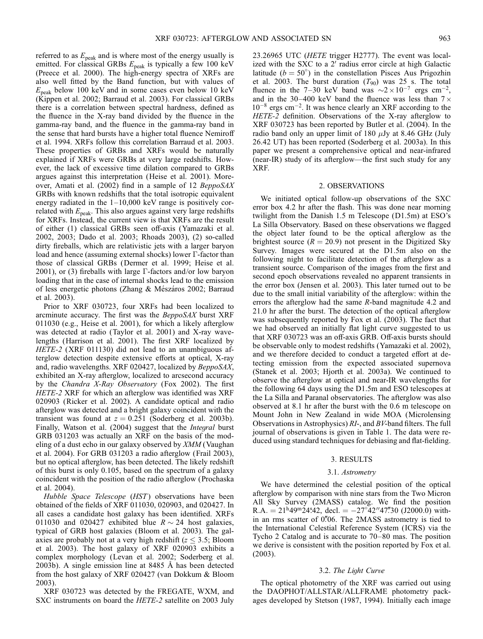referred to as  $E_{\text{peak}}$  and is where most of the energy usually is emitted. For classical GRBs  $E_{\text{peak}}$  is typically a few 100 keV (Preece et al. 2000). The high-energy spectra of XRFs are also well fitted by the Band function, but with values of  $E_{\text{peak}}$  below 100 keV and in some cases even below 10 keV (Kippen et al. 2002; Barraud et al. 2003). For classical GRBs there is a correlation between spectral hardness, defined as the fluence in the X-ray band divided by the fluence in the gamma-ray band, and the fluence in the gamma-ray band in the sense that hard bursts have a higher total fluence Nemiroff et al. 1994. XRFs follow this correlation Barraud et al. 2003. These properties of GRBs and XRFs would be naturally explained if XRFs were GRBs at very large redshifts. However, the lack of excessive time dilation compared to GRBs argues against this interpretation (Heise et al. 2001). Moreover, Amati et al. (2002) find in a sample of 12 BeppoSAX GRBs with known redshifts that the total isotropic equivalent energy radiated in the 1–10,000 keV range is positively correlated with  $E_{\text{peak}}$ . This also argues against very large redshifts for XRFs. Instead, the current view is that XRFs are the result of either (1) classical GRBs seen off-axis (Yamazaki et al. 2002, 2003; Dado et al. 2003; Rhoads 2003), (2) so-called dirty fireballs, which are relativistic jets with a larger baryon load and hence (assuming external shocks) lower  $\Gamma$ -factor than those of classical GRBs (Dermer et al. 1999; Heise et al. 2001), or (3) fireballs with large  $\Gamma$ -factors and/or low baryon loading that in the case of internal shocks lead to the emission of less energetic photons (Zhang & Mészáros 2002; Barraud et al. 2003).

Prior to XRF 030723, four XRFs had been localized to arcminute accuracy. The first was the BeppoSAX burst XRF 011030 (e.g., Heise et al. 2001), for which a likely afterglow was detected at radio (Taylor et al. 2001) and X-ray wavelengths (Harrison et al. 2001). The first XRF localized by HETE-2 (XRF 011130) did not lead to an unambiguous afterglow detection despite extensive efforts at optical, X-ray and, radio wavelengths. XRF 020427, localized by BeppoSAX, exhibited an X-ray afterglow, localized to arcsecond accuracy by the Chandra X-Ray Observatory (Fox 2002). The first HETE-2 XRF for which an afterglow was identified was XRF 020903 (Ricker et al. 2002). A candidate optical and radio afterglow was detected and a bright galaxy coincident with the transient was found at  $z = 0.251$  (Soderberg et al. 2003b). Finally, Watson et al. (2004) suggest that the *Integral* burst GRB 031203 was actually an XRF on the basis of the modeling of a dust echo in our galaxy observed by XMM (Vaughan et al. 2004). For GRB 031203 a radio afterglow (Frail 2003), but no optical afterglow, has been detected. The likely redshift of this burst is only 0.105, based on the spectrum of a galaxy coincident with the position of the radio afterglow (Prochaska et al. 2004).

Hubble Space Telescope (HST) observations have been obtained of the fields of XRF 011030, 020903, and 020427. In all cases a candidate host galaxy has been identified. XRFs 011030 and 020427 exhibited blue  $R \sim 24$  host galaxies, typical of GRB host galaxies (Bloom et al. 2003). The galaxies are probably not at a very high redshift ( $z \leq 3.5$ ; Bloom et al. 2003). The host galaxy of XRF 020903 exhibits a complex morphology (Levan et al. 2002; Soderberg et al. 2003b). A single emission line at 8485 Å has been detected from the host galaxy of XRF 020427 (van Dokkum & Bloom 2003).

XRF 030723 was detected by the FREGATE, WXM, and SXC instruments on board the HETE-2 satellite on 2003 July 23.26965 UTC (HETE trigger H2777). The event was localized with the SXC to a  $2'$  radius error circle at high Galactic latitude ( $b = 50^{\circ}$ ) in the constellation Pisces Aus Prigozhin et al. 2003. The burst duration  $(T_{90})$  was 25 s. The total fluence in the 7–30 keV band was  $\sim 2 \times 10^{-7}$  ergs cm<sup>-2</sup>, and in the 30–400 keV band the fluence was less than  $7 \times$  $10^{-8}$  ergs cm<sup>-2</sup>. It was hence clearly an XRF according to the HETE-2 definition. Observations of the X-ray afterglow to XRF 030723 has been reported by Butler et al. (2004). In the radio band only an upper limit of 180  $\mu$ Jy at 8.46 GHz (July 26.42 UT) has been reported (Soderberg et al. 2003a). In this paper we present a comprehensive optical and near-infrared (near-IR) study of its afterglow—the first such study for any XRF.

## 2. OBSERVATIONS

We initiated optical follow-up observations of the SXC error box 4.2 hr after the flash. This was done near morning twilight from the Danish 1.5 m Telescope (D1.5m) at ESO's La Silla Observatory. Based on these observations we flagged the object later found to be the optical afterglow as the brightest source ( $R = 20.9$ ) not present in the Digitized Sky Survey. Images were secured at the D1.5m also on the following night to facilitate detection of the afterglow as a transient source. Comparison of the images from the first and second epoch observations revealed no apparent transients in the error box (Jensen et al. 2003). This later turned out to be due to the small initial variability of the afterglow: within the errors the afterglow had the same R-band magnitude 4.2 and 21.0 hr after the burst. The detection of the optical afterglow was subsequently reported by Fox et al. (2003). The fact that we had observed an initially flat light curve suggested to us that XRF 030723 was an off-axis GRB. Off-axis bursts should be observable only to modest redshifts (Yamazaki et al. 2002), and we therefore decided to conduct a targeted effort at detecting emission from the expected associated supernova (Stanek et al. 2003; Hjorth et al. 2003a). We continued to observe the afterglow at optical and near-IR wavelengths for the following 64 days using the D1.5m and ESO telescopes at the La Silla and Paranal observatories. The afterglow was also observed at 8.1 hr after the burst with the 0.6 m telescope on Mount John in New Zealand in wide MOA (Microlensing Observations in Astrophysics)  $RI$ , and  $BV$ -band filters. The full journal of observations is given in Table 1. The data were reduced using standard techniques for debiasing and flat-fielding.

#### 3. RESULTS

#### 3.1. Astrometry

We have determined the celestial position of the optical afterglow by comparison with nine stars from the Two Micron All Sky Survey (2MASS) catalog. We find the position R.A. = 21<sup>h</sup>49<sup>m</sup>24<sup>s</sup>42, decl. = -27<sup>°</sup>42″47"30 (J2000.0) within an rms scatter of 0.06. The 2MASS astrometry is tied to the International Celestial Reference System (ICRS) via the Tycho 2 Catalog and is accurate to 70–80 mas. The position we derive is consistent with the position reported by Fox et al. (2003).

#### 3.2. The Light Curve

The optical photometry of the XRF was carried out using the DAOPHOT/ALLSTAR/ALLFRAME photometry packages developed by Stetson (1987, 1994). Initially each image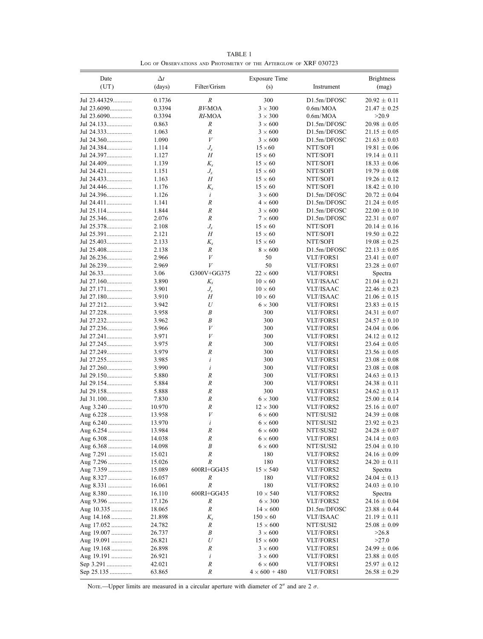| Date                     | $\Delta t$       |                  | <b>Exposure Time</b>              |                        | <b>Brightness</b>                    |
|--------------------------|------------------|------------------|-----------------------------------|------------------------|--------------------------------------|
| (UT)                     | (days)           | Filter/Grism     | (s)                               | Instrument             | (mag)                                |
| Jul 23.44329             | 0.1736           | $\boldsymbol{R}$ | 300                               | D1.5m/DFOSC            | $20.92 \pm 0.11$                     |
| Jul 23.6090              | 0.3394           | BV-MOA           | $3 \times 300$                    | 0.6m/MOA               | $21.47 \pm 0.25$                     |
| Jul 23.6090              | 0.3394           | RI-MOA           | $3 \times 300$                    | 0.6m/MOA               | >20.9                                |
| Jul 24.133               | 0.863            | R                | $3 \times 600$                    | D1.5m/DFOSC            | $20.98 \pm 0.05$                     |
| Jul 24.333               | 1.063            | R                | $3 \times 600$                    | D1.5m/DFOSC            | $21.15 \pm 0.05$                     |
| Jul 24.360               | 1.090            | V                | $3 \times 600$                    | D1.5m/DFOSC            | $21.63 \pm 0.03$                     |
| Jul 24.384               | 1.114            | $J_{s}$          | $15 \times 60$                    | NTT/SOFI               | $19.81 \pm 0.06$                     |
| Jul 24.397               | 1.127            | Н                | $15 \times 60$                    | NTT/SOFI               | $19.14 \pm 0.11$                     |
| Jul 24.409               | 1.139            | $K_{s}$          | $15 \times 60$                    | NTT/SOFI               | $18.33 \pm 0.06$                     |
| Jul 24.421               | 1.151            | $J_{s}$          | $15 \times 60$                    | NTT/SOFI               | $19.79 \pm 0.08$                     |
| Jul 24.433               | 1.163            | Н                | $15 \times 60$                    | NTT/SOFI               | $19.26 \pm 0.12$                     |
| Jul 24.446               | 1.176            | $K_{s}$          | $15 \times 60$                    | NTT/SOFI               | $18.42 \pm 0.10$                     |
| Jul 24.396               | 1.126            | i                | $3\times 600$                     | D1.5m/DFOSC            | $20.72 \pm 0.04$                     |
| Jul 24.411               | 1.141            | R                | $4 \times 600$                    | D1.5m/DFOSC            | $21.24 \pm 0.05$                     |
| Jul 25.114               | 1.844            | $\boldsymbol{R}$ | $3\times 600$                     | D1.5m/DFOSC            | $22.00 \pm 0.10$                     |
| Jul 25.346               | 2.076            | R                | $7\times 600$                     | D1.5m/DFOSC            | $22.31 \pm 0.07$                     |
| Jul 25.378               | 2.108            | $J_{s}$          | $15 \times 60$                    | NTT/SOFI               | $20.14 \pm 0.16$                     |
| Jul 25.391               | 2.121            | Н                | $15 \times 60$                    | NTT/SOFI               | $19.50 \pm 0.22$                     |
| Jul 25.403               | 2.133            | $K_{S}$          | $15 \times 60$                    | NTT/SOFI               | $19.08 \pm 0.25$                     |
| Jul 25.408               | 2.138            | R                | $8 \times 600$                    | D1.5m/DFOSC            | $22.13 \pm 0.05$                     |
| Jul 26.236               | 2.966            | V                | 50                                | VLT/FORS1              | $23.41 \pm 0.07$                     |
| Jul 26.239               | 2.969            | V                | 50                                | VLT/FORS1              | $23.28 \pm 0.07$                     |
| Jul 26.33                | 3.06             | G300V+GG375      | $22 \times 600$                   | VLT/FORS1              | Spectra                              |
| Jul 27.160               | 3.890            | $K_{s}$          | $10 \times 60$                    | <b>VLT/ISAAC</b>       | $21.04 \pm 0.21$                     |
| Jul 27.171               | 3.901            | $J_{s}$          | $10 \times 60$                    | <b>VLT/ISAAC</b>       | $22.46 \pm 0.23$                     |
| Jul 27.180               | 3.910            | Н                | $10 \times 60$                    | <b>VLT/ISAAC</b>       | $21.06 \pm 0.15$                     |
| Jul 27.212               | 3.942            | U                | $6 \times 300$                    | VLT/FORS1              | $23.83 \pm 0.15$                     |
| Jul 27.228               | 3.958            | Β                | 300                               | VLT/FORS1              | $24.31 \pm 0.07$                     |
| Jul 27.232               | 3.962            | $\boldsymbol{B}$ | 300                               | VLT/FORS1              | $24.57 \pm 0.10$                     |
| Jul 27.236               | 3.966            | V                | 300                               | VLT/FORS1              | $24.04 \pm 0.06$                     |
| Jul 27.241               | 3.971            | V                | 300                               | VLT/FORS1              | $24.12 \pm 0.12$                     |
| Jul 27.245               | 3.975            | R                | 300                               | VLT/FORS1              | $23.64 \pm 0.05$                     |
| Jul 27.249               | 3.979            | R                | 300                               | VLT/FORS1              | $23.56 \pm 0.05$                     |
| Jul 27.255               | 3.985            | i                | 300                               | VLT/FORS1              | $23.08 \pm 0.08$                     |
| Jul 27.260               | 3.990            | i                | 300                               | VLT/FORS1              | $23.08 \pm 0.08$                     |
| Jul 29.150               | 5.880            | R                | 300                               | VLT/FORS1              | $24.63 \pm 0.13$                     |
| Jul 29.154               | 5.884            | $\boldsymbol{R}$ | 300                               | VLT/FORS1              | $24.38 \pm 0.11$                     |
| Jul 29.158               | 5.888            | R                | 300                               | VLT/FORS1              | $24.62 \pm 0.13$                     |
| Jul 31.100               | 7.830            | R                | $6 \times 300$                    | VLT/FORS2              | $25.00 \pm 0.14$                     |
| Aug 3.240                | 10.970           | $\boldsymbol{R}$ | $12 \times 300$                   | VLT/FORS2              | $25.16 \pm 0.07$                     |
| Aug 6.228                | 13.958           | V                | $6 \times 600$                    | NTT/SUSI2              | $24.39 \pm 0.08$                     |
| Aug 6.240                | 13.970           | i                | $6 \times 600$                    | NTT/SUSI2              | $23.92 \pm 0.23$                     |
| Aug 6.254                | 13.984           | $\boldsymbol{R}$ | $6 \times 600$                    | NTT/SUSI2              | $24.28 \pm 0.07$                     |
| Aug 6.308                | 14.038           | R                | $6 \times 600$                    | VLT/FORS1              | $24.14 \pm 0.03$                     |
| Aug 6.368                | 14.098           | Β                | $6 \times 600$                    | NTT/SUSI2              | $25.04 \pm 0.10$                     |
| Aug 7.291                | 15.021           | $\cal R$         | 180                               | VLT/FORS2              | $24.16 \pm 0.09$                     |
| Aug 7.296                | 15.026           | R                | 180                               | VLT/FORS2              | $24.20 \pm 0.11$                     |
| Aug 7.359<br>Aug 8.327   | 15.089           | 600RI+GG435      | $15 \times 540$                   | VLT/FORS2              | Spectra                              |
|                          | 16.057           | R                | 180                               | VLT/FORS2              | $24.04 \pm 0.13$                     |
| Aug 8.331                | 16.061           | R                | 180                               | VLT/FORS2              | $24.03 \pm 0.10$                     |
| Aug 8.380                | 16.110           | 600RI+GG435      | $10 \times 540$                   | VLT/FORS2              | Spectra                              |
| Aug 9.396<br>Aug 10.335  | 17.126           | R<br>R           | $6 \times 300$                    | VLT/FORS2              | $24.16 \pm 0.04$                     |
|                          | 18.065           |                  | $14 \times 600$                   | D1.5m/DFOSC            | $23.88 \pm 0.44$                     |
| Aug 14.168<br>Aug 17.052 | 21.898           | $K_{S}$          | $150 \times 60$                   | <b>VLT/ISAAC</b>       | $21.19 \pm 0.11$                     |
| Aug 19.007               | 24.782           | R<br>Β           | $15 \times 600$                   | NTT/SUSI2              | $25.08 \pm 0.09$                     |
|                          | 26.737           |                  | $3 \times 600$                    | VLT/FORS1              | >26.8                                |
| Aug 19.091<br>Aug 19.168 | 26.821           | U<br>R           | $15 \times 600$<br>$3 \times 600$ | VLT/FORS1              | >27.0                                |
| Aug 19.191               | 26.898           | i                |                                   | VLT/FORS1              | $24.99 \pm 0.06$                     |
| Sep 3.291                | 26.921<br>42.021 | $\boldsymbol{R}$ | $3\times 600$<br>$6 \times 600$   | VLT/FORS1<br>VLT/FORS1 | $23.88 \pm 0.05$<br>$25.97 \pm 0.12$ |
| Sep 25.135               | 63.865           | R                | $4 \times 600 + 480$              | VLT/FORS1              | $26.58 \pm 0.29$                     |
|                          |                  |                  |                                   |                        |                                      |

TABLE 1 Log of Observations and Photometry of the Afterglow of XRF 030723

NOTE.—Upper limits are measured in a circular aperture with diameter of  $2''$  and are  $2 \sigma$ .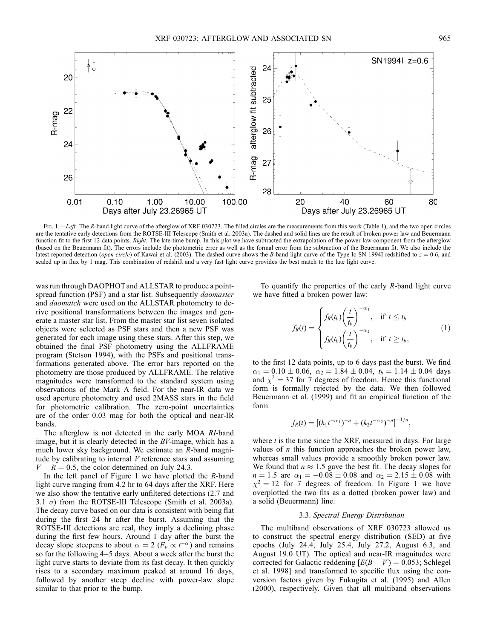

Fig. 1.—Left: The R-band light curve of the afterglow of XRF 030723. The filled circles are the measurements from this work (Table 1), and the two open circles are the tentative early detections from the ROTSE-III Telescope (Smith et al. 2003a). The dashed and solid lines are the result of broken power law and Beuermann function fit to the first 12 data points. Right: The late-time bump. In this plot we have subtracted the extrapolation of the power-law component from the afterglow (based on the Beuermann fit). The errors include the photometric error as well as the formal error from the subtraction of the Beuermann fit. We also include the latest reported detection (open circle) of Kawai et al. (2003). The dashed curve shows the B-band light curve of the Type Ic SN 1994I redshifted to  $z = 0.6$ , and scaled up in flux by 1 mag. This combination of redshift and a very fast light curve provides the best match to the late light curve.

was run through DAOPHOT and ALLSTAR to produce a pointspread function (PSF) and a star list. Subsequently *daomaster* and *daomatch* were used on the ALLSTAR photometry to derive positional transformations between the images and generate a master star list. From the master star list seven isolated objects were selected as PSF stars and then a new PSF was generated for each image using these stars. After this step, we obtained the final PSF photometry using the ALLFRAME program (Stetson 1994), with the PSFs and positional transformations generated above. The error bars reported on the photometry are those produced by ALLFRAME. The relative magnitudes were transformed to the standard system using observations of the Mark A field. For the near-IR data we used aperture photometry and used 2MASS stars in the field for photometric calibration. The zero-point uncertainties are of the order 0.03 mag for both the optical and near-IR bands.

The afterglow is not detected in the early MOA RI-band image, but it is clearly detected in the  $BV$ -image, which has a much lower sky background. We estimate an R-band magnitude by calibrating to internal  $V$  reference stars and assuming  $V - R = 0.5$ , the color determined on July 24.3.

In the left panel of Figure 1 we have plotted the  $R$ -band light curve ranging from 4.2 hr to 64 days after the XRF. Here we also show the tentative early unfiltered detections (2.7 and 3.1  $\sigma$ ) from the ROTSE-III Telescope (Smith et al. 2003a). The decay curve based on our data is consistent with being flat during the first 24 hr after the burst. Assuming that the ROTSE-III detections are real, they imply a declining phase during the first few hours. Around 1 day after the burst the decay slope steepens to about  $\alpha = 2$  ( $F_{\nu} \propto t^{-\alpha}$ ) and remains so for the following 4–5 days. About a week after the burst the light curve starts to deviate from its fast decay. It then quickly rises to a secondary maximum peaked at around 16 days, followed by another steep decline with power-law slope similar to that prior to the bump.

To quantify the properties of the early R-band light curve we have fitted a broken power law:

$$
f_R(t) = \begin{cases} f_R(t_b) \left(\frac{t}{t_b}\right)^{-\alpha_1}, & \text{if } t \leq t_b \\ f_R(t_b) \left(\frac{t}{t_b}\right)^{-\alpha_2}, & \text{if } t \geq t_b, \end{cases}
$$
 (1)

to the first 12 data points, up to 6 days past the burst. We find  $\alpha_1 = 0.10 \pm 0.06$ ,  $\alpha_2 = 1.84 \pm 0.04$ ,  $t_b = 1.14 \pm 0.04$  days and  $\chi^2 = 37$  for 7 degrees of freedom. Hence this functional form is formally rejected by the data. We then followed Beuermann et al. (1999) and fit an empirical function of the form

$$
f_R(t) = [(k_1 t^{-\alpha_1})^{-n} + (k_2 t^{-\alpha_2})^{-n}]^{-1/n},
$$

where  $t$  is the time since the XRF, measured in days. For large values of  $n$  this function approaches the broken power law, whereas small values provide a smoothly broken power law. We found that  $n \approx 1.5$  gave the best fit. The decay slopes for  $n = 1.5$  are  $\alpha_1 = -0.08 \pm 0.08$  and  $\alpha_2 = 2.15 \pm 0.08$  with  $\chi^2 = 12$  for 7 degrees of freedom. In Figure 1 we have overplotted the two fits as a dotted (broken power law) and a solid (Beuermann) line.

#### 3.3. Spectral Energy Distribution

The multiband observations of XRF 030723 allowed us to construct the spectral energy distribution (SED) at five epochs (July 24.4, July 25.4, July 27.2, August 6.3, and August 19.0 UT). The optical and near-IR magnitudes were corrected for Galactic reddening  $[E(B - V) = 0.053;$  Schlegel et al. 1998] and transformed to specific flux using the conversion factors given by Fukugita et al. (1995) and Allen (2000), respectively. Given that all multiband observations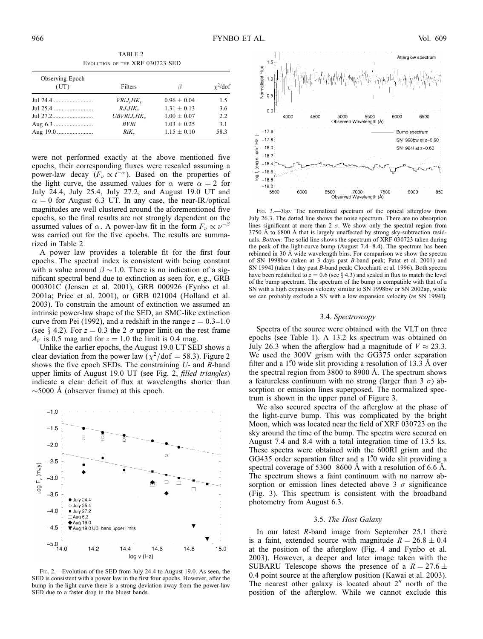TABLE 2 Evolution of the XRF 030723 SED

| Observing Epoch<br>(UT) | <b>Filters</b>                      | ß             | $\chi^2$ /dof |
|-------------------------|-------------------------------------|---------------|---------------|
|                         | VRiJ <sub>s</sub> HK <sub>s</sub>   | $0.96 + 0.04$ | 15            |
|                         | $RJ_{s}HK_{s}$                      | $1.31 + 0.13$ | 3.6           |
|                         | UBVRiJ <sub>s</sub> HK <sub>s</sub> | $1.00 + 0.07$ | 2.2           |
|                         | <b>BVRi</b>                         | $1.03 + 0.25$ | 3.1           |
|                         | $RiK_{s}$                           | $1.15 + 0.10$ | 58.3          |

were not performed exactly at the above mentioned five epochs, their corresponding fluxes were rescaled assuming a power-law decay  $(F_\nu \propto t^{-\alpha})$ . Based on the properties of the light curve, the assumed values for  $\alpha$  were  $\alpha = 2$  for July 24.4, July 25.4, July 27.2, and August 19.0 UT and  $\alpha = 0$  for August 6.3 UT. In any case, the near-IR/optical magnitudes are well clustered around the aforementioned five epochs, so the final results are not strongly dependent on the assumed values of  $\alpha$ . A power-law fit in the form  $F_{\nu} \propto \nu^{-\beta}$ was carried out for the five epochs. The results are summarized in Table 2.

A power law provides a tolerable fit for the first four epochs. The spectral index is consistent with being constant with a value around  $\beta \sim 1.0$ . There is no indication of a significant spectral bend due to extinction as seen for, e.g., GRB 000301C (Jensen et al. 2001), GRB 000926 (Fynbo et al. 2001a; Price et al. 2001), or GRB 021004 (Holland et al. 2003). To constrain the amount of extinction we assumed an intrinsic power-law shape of the SED, an SMC-like extinction curve from Pei (1992), and a redshift in the range  $z = 0.3 - 1.0$ (see  $\S$  4.2). For  $z = 0.3$  the 2  $\sigma$  upper limit on the rest frame  $A_V$  is 0.5 mag and for  $z = 1.0$  the limit is 0.4 mag.

Unlike the earlier epochs, the August 19.0 UT SED shows a clear deviation from the power law ( $\chi^2$ /dof = 58.3). Figure 2 shows the five epoch SEDs. The constraining  $U$ - and  $B$ -band upper limits of August 19.0 UT (see Fig. 2, filled triangles) indicate a clear deficit of flux at wavelengths shorter than  $\sim$  5000 Å (observer frame) at this epoch.



Fig. 2.—Evolution of the SED from July 24.4 to August 19.0. As seen, the SED is consistent with a power law in the first four epochs. However, after the bump in the light curve there is a strong deviation away from the power-law SED due to a faster drop in the bluest bands.



FIG. 3.—Top: The normalized spectrum of the optical afterglow from July 26.3. The dotted line shows the noise spectrum. There are no absorption lines significant at more than 2  $\sigma$ . We show only the spectral region from 3750  $\AA$  to 6800  $\AA$  that is largely unaffected by strong sky-subtraction residuals. Bottom: The solid line shows the spectrum of XRF 030723 taken during the peak of the light-curve bump (August 7.4–8.4). The spectrum has been rebinned in 30 Å wide wavelength bins. For comparison we show the spectra of SN 1998bw (taken at 3 days past B-band peak; Patat et al. 2001) and SN 1994I (taken 1 day past B-band peak; Clocchiatti et al. 1996). Both spectra have been redshifted to  $z = 0.6$  (see  $\S 4.3$ ) and scaled in flux to match the level of the bump spectrum. The spectrum of the bump is compatible with that of a SN with a high expansion velocity similar to SN 1998bw or SN 2002ap, while we can probably exclude a SN with a low expansion velocity (as SN 1994I).

#### 3.4. Spectroscopy

Spectra of the source were obtained with the VLT on three epochs (see Table 1). A 13.2 ks spectrum was obtained on July 26.3 when the afterglow had a magnitude of  $V \approx 23.3$ . We used the 300V grism with the GG375 order separation filter and a 1.0 wide slit providing a resolution of 13.3  $\AA$  over the spectral region from 3800 to 8900 Å. The spectrum shows a featureless continuum with no strong (larger than 3  $\sigma$ ) absorption or emission lines superposed. The normalized spectrum is shown in the upper panel of Figure 3.

We also secured spectra of the afterglow at the phase of the light-curve bump. This was complicated by the bright Moon, which was located near the field of XRF 030723 on the sky around the time of the bump. The spectra were secured on August 7.4 and 8.4 with a total integration time of 13.5 ks. These spectra were obtained with the 600RI grism and the GG435 order separation filter and a 1."0 wide slit providing a spectral coverage of  $5300-8600$  Å with a resolution of 6.6 Å. The spectrum shows a faint continuum with no narrow absorption or emission lines detected above 3  $\sigma$  significance (Fig. 3). This spectrum is consistent with the broadband photometry from August 6.3.

#### 3.5. The Host Galaxy

In our latest R-band image from September 25.1 there is a faint, extended source with magnitude  $R = 26.8 \pm 0.4$ at the position of the afterglow (Fig. 4 and Fynbo et al. 2003). However, a deeper and later image taken with the SUBARU Telescope shows the presence of a  $R = 27.6 \pm$ 0:4 point source at the afterglow position (Kawai et al. 2003). The nearest other galaxy is located about  $2<sup>''</sup>$  north of the position of the afterglow. While we cannot exclude this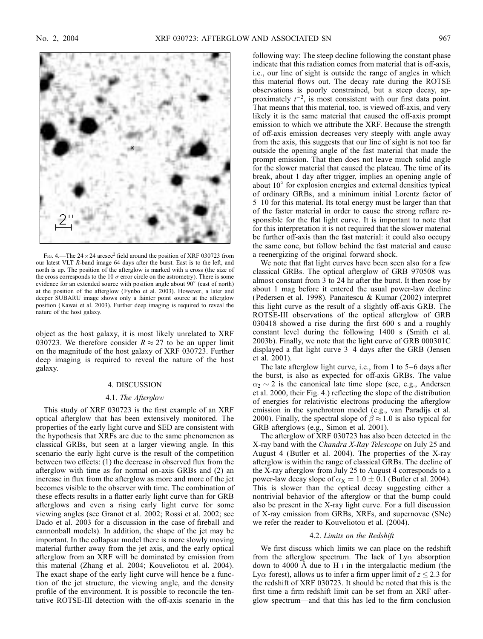

FIG. 4.—The  $24 \times 24$  arcsec<sup>2</sup> field around the position of XRF 030723 from our latest VLT R-band image 64 days after the burst. East is to the left, and north is up. The position of the afterglow is marked with a cross (the size of the cross corresponds to the 10  $\sigma$  error circle on the astrometry). There is some evidence for an extended source with position angle about  $90^\circ$  (east of north) at the position of the afterglow (Fynbo et al. 2003). However, a later and deeper SUBARU image shows only a fainter point source at the afterglow position (Kawai et al. 2003). Further deep imaging is required to reveal the nature of the host galaxy.

object as the host galaxy, it is most likely unrelated to XRF 030723. We therefore consider  $R \approx 27$  to be an upper limit on the magnitude of the host galaxy of XRF 030723. Further deep imaging is required to reveal the nature of the host galaxy.

#### 4. DISCUSSION

#### 4.1. The Afterglow

This study of XRF 030723 is the first example of an XRF optical afterglow that has been extensively monitored. The properties of the early light curve and SED are consistent with the hypothesis that XRFs are due to the same phenomenon as classical GRBs, but seen at a larger viewing angle. In this scenario the early light curve is the result of the competition between two effects: (1) the decrease in observed flux from the afterglow with time as for normal on-axis GRBs and (2) an increase in flux from the afterglow as more and more of the jet becomes visible to the observer with time. The combination of these effects results in a flatter early light curve than for GRB afterglows and even a rising early light curve for some viewing angles (see Granot et al. 2002; Rossi et al. 2002; see Dado et al. 2003 for a discussion in the case of fireball and cannonball models). In addition, the shape of the jet may be important. In the collapsar model there is more slowly moving material further away from the jet axis, and the early optical afterglow from an XRF will be dominated by emission from this material (Zhang et al. 2004; Kouveliotou et al. 2004). The exact shape of the early light curve will hence be a function of the jet structure, the viewing angle, and the density profile of the environment. It is possible to reconcile the tentative ROTSE-III detection with the off-axis scenario in the following way: The steep decline following the constant phase indicate that this radiation comes from material that is off-axis, i.e., our line of sight is outside the range of angles in which this material flows out. The decay rate during the ROTSE observations is poorly constrained, but a steep decay, approximately  $t^{-2}$ , is most consistent with our first data point. That means that this material, too, is viewed off-axis, and very likely it is the same material that caused the off-axis prompt emission to which we attribute the XRF. Because the strength of off-axis emission decreases very steeply with angle away from the axis, this suggests that our line of sight is not too far outside the opening angle of the fast material that made the prompt emission. That then does not leave much solid angle for the slower material that caused the plateau. The time of its break, about 1 day after trigger, implies an opening angle of about  $10^{\circ}$  for explosion energies and external densities typical of ordinary GRBs, and a minimum initial Lorentz factor of 5–10 for this material. Its total energy must be larger than that of the faster material in order to cause the strong reflare responsible for the flat light curve. It is important to note that for this interpretation it is not required that the slower material be further off-axis than the fast material: it could also occupy the same cone, but follow behind the fast material and cause a reenergizing of the original forward shock.

We note that flat light curves have been seen also for a few classical GRBs. The optical afterglow of GRB 970508 was almost constant from 3 to 24 hr after the burst. It then rose by about 1 mag before it entered the usual power-law decline (Pedersen et al. 1998). Panaitescu & Kumar (2002) interpret this light curve as the result of a slightly off-axis GRB. The ROTSE-III observations of the optical afterglow of GRB 030418 showed a rise during the first 600 s and a roughly constant level during the following 1400 s (Smith et al. 2003b). Finally, we note that the light curve of GRB 000301C displayed a flat light curve 3–4 days after the GRB (Jensen et al. 2001).

The late afterglow light curve, i.e., from 1 to 5–6 days after the burst, is also as expected for off-axis GRBs. The value  $\alpha_2 \sim 2$  is the canonical late time slope (see, e.g., Andersen et al. 2000, their Fig. 4.) reflecting the slope of the distribution of energies for relativistic electrons producing the afterglow emission in the synchrotron model (e.g., van Paradijs et al. 2000). Finally, the spectral slope of  $\beta \approx 1.0$  is also typical for GRB afterglows (e.g., Simon et al. 2001).

The afterglow of XRF 030723 has also been detected in the X-ray band with the Chandra X-Ray Telescope on July 25 and August 4 (Butler et al. 2004). The properties of the X-ray afterglow is within the range of classical GRBs. The decline of the X-ray afterglow from July 25 to August 4 corresponds to a power-law decay slope of  $\alpha_X = 1.0 \pm 0.1$  (Butler et al. 2004). This is slower than the optical decay suggesting either a nontrivial behavior of the afterglow or that the bump could also be present in the X-ray light curve. For a full discussion of X-ray emission from GRBs, XRFs, and supernovae (SNe) we refer the reader to Kouveliotou et al. (2004).

#### 4.2. Limits on the Redshift

We first discuss which limits we can place on the redshift from the afterglow spectrum. The lack of  $Ly\alpha$  absorption down to 4000  $\AA$  due to H  $\scriptstyle\rm I$  in the intergalactic medium (the Ly $\alpha$  forest), allows us to infer a firm upper limit of  $z \le 2.3$  for the redshift of XRF 030723. It should be noted that this is the first time a firm redshift limit can be set from an XRF afterglow spectrum—and that this has led to the firm conclusion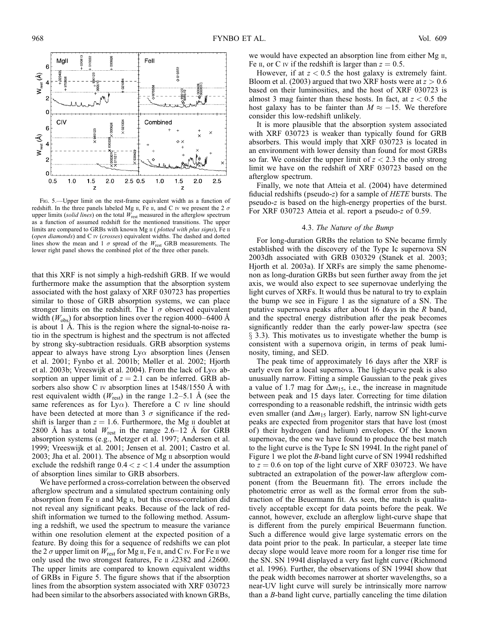

Fig. 5.—Upper limit on the rest-frame equivalent width as a function of redshift. In the three panels labeled Mg  $\pi$ , Fe  $\pi$ , and C  $\pi$  we present the 2  $\sigma$ upper limits (solid lines) on the total  $W_{\text{rest}}$  measured in the afterglow spectrum as a function of assumed redshift for the mentioned transitions. The upper limits are compared to GRBs with known Mg II (plotted with plus signs), Fe II (open diamonds) and C iv (crosses) equivalent widths. The dashed and dotted lines show the mean and 1  $\sigma$  spread of the  $W_{\text{rest}}$  GRB measurements. The lower right panel shows the combined plot of the three other panels.

that this XRF is not simply a high-redshift GRB. If we would furthermore make the assumption that the absorption system associated with the host galaxy of XRF 030723 has properties similar to those of GRB absorption systems, we can place stronger limits on the redshift. The 1  $\sigma$  observed equivalent width ( $W_{\text{obs}}$ ) for absorption lines over the region 4000–6400 Å is about  $1$  Å. This is the region where the signal-to-noise ratio in the spectrum is highest and the spectrum is not affected by strong sky-subtraction residuals. GRB absorption systems appear to always have strong  $Ly\alpha$  absorption lines (Jensen et al. 2001; Fynbo et al. 2001b; Møller et al. 2002; Hjorth et al. 2003b; Vreeswijk et al. 2004). From the lack of Ly $\alpha$  absorption an upper limit of  $z = 2.1$  can be inferred. GRB absorbers also show C iv absorption lines at  $1548/1550$  Å with rest equivalent width ( $W_{rest}$ ) in the range 1.2–5.1 Å (see the same references as for Ly $\alpha$ ). Therefore a C iv line should have been detected at more than 3  $\sigma$  significance if the redshift is larger than  $z = 1.6$ . Furthermore, the Mg  $\pi$  doublet at 2800 Å has a total  $W_{\text{rest}}$  in the range 2.6–12 Å for GRB absorption systems (e.g., Metzger et al. 1997; Andersen et al. 1999; Vreeswijk et al. 2001; Jensen et al. 2001; Castro et al. 2003; Jha et al. 2001). The absence of Mg ii absorption would exclude the redshift range  $0.4 < z < 1.4$  under the assumption of absorption lines similar to GRB absorbers.

We have performed a cross-correlation between the observed afterglow spectrum and a simulated spectrum containing only absorption from Fe ii and Mg ii, but this cross-correlation did not reveal any significant peaks. Because of the lack of redshift information we turned to the following method. Assuming a redshift, we used the spectrum to measure the variance within one resolution element at the expected position of a feature. By doing this for a sequence of redshifts we can plot the 2  $\sigma$  upper limit on  $W_{\text{rest}}$  for Mg  $\pi$ , Fe  $\pi$ , and C iv. For Fe  $\pi$  we only used the two strongest features, Fe  $\pi$  22382 and 22600. The upper limits are compared to known equivalent widths of GRBs in Figure 5. The figure shows that if the absorption lines from the absorption system associated with XRF 030723 had been similar to the absorbers associated with known GRBs,

we would have expected an absorption line from either Mg ii, Fe II, or C IV if the redshift is larger than  $z = 0.5$ .

However, if at  $z < 0.5$  the host galaxy is extremely faint. Bloom et al. (2003) argued that two XRF hosts were at  $z > 0.6$ based on their luminosities, and the host of XRF 030723 is almost 3 mag fainter than these hosts. In fact, at  $z < 0.5$  the host galaxy has to be fainter than  $M \approx -15$ . We therefore consider this low-redshift unlikely.

It is more plausible that the absorption system associated with XRF 030723 is weaker than typically found for GRB absorbers. This would imply that XRF 030723 is located in an environment with lower density than found for most GRBs so far. We consider the upper limit of  $z < 2.3$  the only strong limit we have on the redshift of XRF 030723 based on the afterglow spectrum.

Finally, we note that Atteia et al. (2004) have determined fiducial redshifts (pseudo-z) for a sample of HETE bursts. The pseudo-z is based on the high-energy properties of the burst. For XRF 030723 Atteia et al. report a pseudo-z of 0.59.

#### 4.3. The Nature of the Bump

For long-duration GRBs the relation to SNe became firmly established with the discovery of the Type Ic supernova SN 2003dh associated with GRB 030329 (Stanek et al. 2003; Hjorth et al. 2003a). If XRFs are simply the same phenomenon as long-duration GRBs but seen further away from the jet axis, we would also expect to see supernovae underlying the light curves of XRFs. It would thus be natural to try to explain the bump we see in Figure 1 as the signature of a SN. The putative supernova peaks after about 16 days in the R band, and the spectral energy distribution after the peak becomes significantly redder than the early power-law spectra (see  $\S$  3.3). This motivates us to investigate whether the bump is consistent with a supernova origin, in terms of peak luminosity, timing, and SED.

The peak time of approximately 16 days after the XRF is early even for a local supernova. The light-curve peak is also unusually narrow. Fitting a simple Gaussian to the peak gives a value of 1.7 mag for  $\Delta m_{15}$ , i.e., the increase in magnitude between peak and 15 days later. Correcting for time dilation corresponding to a reasonable redshift, the intrinsic width gets even smaller (and  $\Delta m_{15}$  larger). Early, narrow SN light-curve peaks are expected from progenitor stars that have lost (most of) their hydrogen (and helium) envelopes. Of the known supernovae, the one we have found to produce the best match to the light curve is the Type Ic SN 1994I. In the right panel of Figure 1 we plot the B-band light curve of SN 1994I redshifted to  $z = 0.6$  on top of the light curve of XRF 030723. We have subtracted an extrapolation of the power-law afterglow component (from the Beuermann fit). The errors include the photometric error as well as the formal error from the subtraction of the Beuermann fit. As seen, the match is qualitatively acceptable except for data points before the peak. We cannot, however, exclude an afterglow light-curve shape that is different from the purely empirical Beuermann function. Such a difference would give large systematic errors on the data point prior to the peak. In particular, a steeper late time decay slope would leave more room for a longer rise time for the SN. SN 1994I displayed a very fast light curve (Richmond et al. 1996). Further, the observations of SN 1994I show that the peak width becomes narrower at shorter wavelengths, so a near-UV light curve will surely be intrinsically more narrow than a B-band light curve, partially canceling the time dilation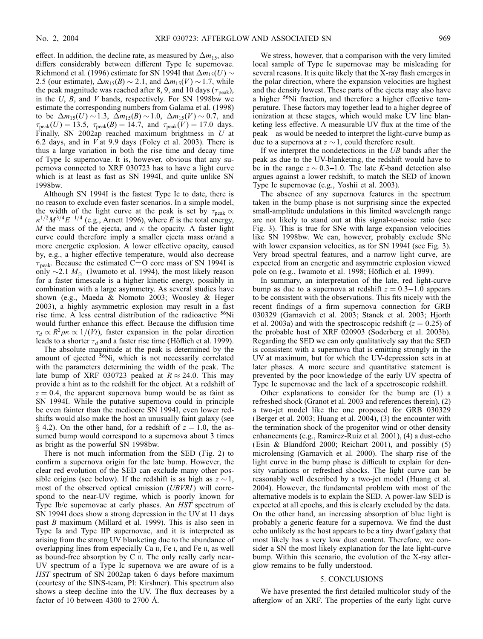effect. In addition, the decline rate, as measured by  $\Delta m_{15}$ , also differs considerably between different Type Ic supernovae. Richmond et al. (1996) estimate for SN 1994I that  $\Delta m_{15}(U) \sim$ 2.5 (our estimate),  $\Delta m_{15}(B) \sim 2.1$ , and  $\Delta m_{15}(V) \sim 1.7$ , while the peak magnitude was reached after 8, 9, and 10 days ( $\tau_{\rm peak}$ ), in the  $U$ ,  $B$ , and  $V$  bands, respectively. For SN 1998bw we estimate the corresponding numbers from Galama et al. (1998) to be  $\Delta m_{15}(U) \sim 1.3$ ,  $\Delta m_{15}(B) \sim 1.0$ ,  $\Delta m_{15}(V) \sim 0.7$ , and  $\tau_{\text{peak}}(U) = 13.5, \ \tau_{\text{peak}}(B) = 14.7, \text{ and } \ \tau_{\text{peak}}(V) = 17.0 \ \text{days}.$ Finally, SN 2002ap reached maximum brightness in U at 6.2 days, and in  $V$  at 9.9 days (Foley et al. 2003). There is thus a large variation in both the rise time and decay time of Type Ic supernovae. It is, however, obvious that any supernova connected to XRF 030723 has to have a light curve which is at least as fast as SN 1994I, and quite unlike SN 1998bw.

Although SN 1994I is the fastest Type Ic to date, there is no reason to exclude even faster scenarios. In a simple model, the width of the light curve at the peak is set by  $\tau_{\text{peak}} \propto$  $\kappa^{1/2} M^{3/4} E^{-1/4}$  (e.g., Arnett 1996), where E is the total energy, M the mass of the ejecta, and  $\kappa$  the opacity. A faster light curve could therefore imply a smaller ejecta mass or/and a more energetic explosion. A lower effective opacity, caused by, e.g., a higher effective temperature, would also decrease  $\tau_{\text{peak}}$ . Because the estimated C-O core mass of SN 1994I is only  $\sim$ 2.1 M<sub> $\odot$ </sub> (Iwamoto et al. 1994), the most likely reason for a faster timescale is a higher kinetic energy, possibly in combination with a large asymmetry. As several studies have shown (e.g., Maeda & Nomoto 2003; Woosley & Heger 2003), a highly asymmetric explosion may result in a fast rise time. A less central distribution of the radioactive 56Ni would further enhance this effect. Because the diffusion time  $\tau_d \propto R^2 \rho \kappa \propto 1/(Vt)$ , faster expansion in the polar direction leads to a shorter  $\tau_d$  and a faster rise time (Höflich et al. 1999).

The absolute magnitude at the peak is determined by the amount of ejected <sup>56</sup>Ni, which is not necessarily correlated with the parameters determining the width of the peak. The late bump of XRF 030723 peaked at  $R \approx 24.0$ . This may provide a hint as to the redshift for the object. At a redshift of  $z = 0.4$ , the apparent supernova bump would be as faint as SN 1994I. While the putative supernova could in principle be even fainter than the mediocre SN 1994I, even lower redshifts would also make the host an unusually faint galaxy (see  $\S$  4.2). On the other hand, for a redshift of  $z = 1.0$ , the assumed bump would correspond to a supernova about 3 times as bright as the powerful SN 1998bw.

There is not much information from the SED (Fig. 2) to confirm a supernova origin for the late bump. However, the clear red evolution of the SED can exclude many other possible origins (see below). If the redshift is as high as  $z \sim 1$ , most of the observed optical emission (UBVRI) will correspond to the near-UV regime, which is poorly known for Type Ib/c supernovae at early phases. An HST spectrum of SN 1994I does show a strong depression in the UV at 11 days past B maximum (Millard et al. 1999). This is also seen in Type Ia and Type IIP supernovae, and it is interpreted as arising from the strong UV blanketing due to the abundance of overlapping lines from especially Ca ii, Fe i, and Fe ii, as well as bound-free absorption by  $C$   $\text{II}$ . The only really early near-UV spectrum of a Type Ic supernova we are aware of is a HST spectrum of SN 2002ap taken 6 days before maximum (courtesy of the SINS-team, PI: Kirshner). This spectrum also shows a steep decline into the UV. The flux decreases by a factor of 10 between 4300 to 2700  $\AA$ .

We stress, however, that a comparison with the very limited local sample of Type Ic supernovae may be misleading for several reasons. It is quite likely that the X-ray flash emerges in the polar direction, where the expansion velocities are highest and the density lowest. These parts of the ejecta may also have a higher <sup>56</sup>Ni fraction, and therefore a higher effective temperature. These factors may together lead to a higher degree of ionization at these stages, which would make UV line blanketing less effective. A measurable UV flux at the time of the peak—as would be needed to interpret the light-curve bump as due to a supernova at  $z \sim 1$ , could therefore result.

If we interpret the nondetections in the UB bands after the peak as due to the UV-blanketing, the redshift would have to be in the range  $z \sim 0.3 - 1.0$ . The late K-band detection also argues against a lower redshift, to match the SED of known Type Ic supernovae (e.g., Yoshii et al. 2003).

The absence of any supernova features in the spectrum taken in the bump phase is not surprising since the expected small-amplitude undulations in this limited wavelength range are not likely to stand out at this signal-to-noise ratio (see Fig. 3). This is true for SNe with large expansion velocities like SN 1998bw. We can, however, probably exclude SNe with lower expansion velocities, as for SN 1994I (see Fig. 3). Very broad spectral features, and a narrow light curve, are expected from an energetic and asymmetric explosion viewed pole on (e.g., Iwamoto et al. 1998; Höflich et al. 1999).

In summary, an interpretation of the late, red light-curve bump as due to a supernova at redshift  $z = 0.3 - 1.0$  appears to be consistent with the observations. This fits nicely with the recent findings of a firm supernova connection for GRB 030329 (Garnavich et al. 2003; Stanek et al. 2003; Hjorth et al. 2003a) and with the spectroscopic redshift ( $z = 0.25$ ) of the probable host of XRF 020903 (Soderberg et al. 2003b). Regarding the SED we can only qualitatively say that the SED is consistent with a supernova that is emitting strongly in the UV at maximum, but for which the UV-depression sets in at later phases. A more secure and quantitative statement is prevented by the poor knowledge of the early UV spectra of Type Ic supernovae and the lack of a spectroscopic redshift.

Other explanations to consider for the bump are (1) a refreshed shock (Granot et al. 2003 and references therein), (2) a two-jet model like the one proposed for GRB 030329 (Berger et al. 2003; Huang et al. 2004), (3) the encounter with the termination shock of the progenitor wind or other density enhancements (e.g., Ramirez-Ruiz et al. 2001), (4) a dust-echo (Esin & Blandford 2000; Reichart 2001), and possibly (5) microlensing (Garnavich et al. 2000). The sharp rise of the light curve in the bump phase is difficult to explain for density variations or refreshed shocks. The light curve can be reasonably well described by a two-jet model (Huang et al. 2004). However, the fundamental problem with most of the alternative models is to explain the SED. A power-law SED is expected at all epochs, and this is clearly excluded by the data. On the other hand, an increasing absorption of blue light is probably a generic feature for a supernova. We find the dust echo unlikely as the host appears to be a tiny dwarf galaxy that most likely has a very low dust content. Therefore, we consider a SN the most likely explanation for the late light-curve bump. Within this scenario, the evolution of the X-ray afterglow remains to be fully understood.

#### 5. CONCLUSIONS

We have presented the first detailed multicolor study of the afterglow of an XRF. The properties of the early light curve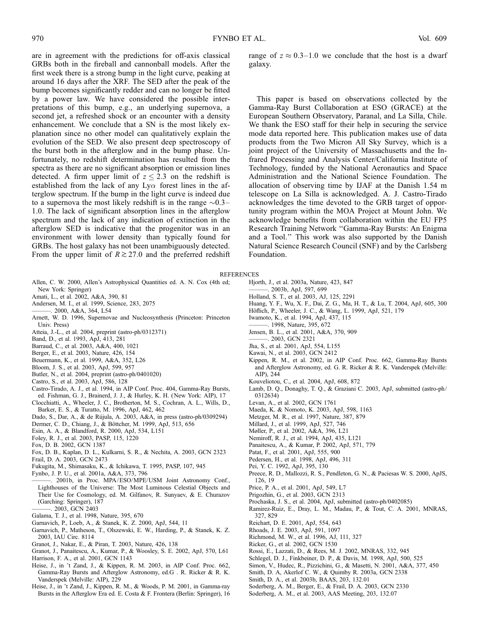are in agreement with the predictions for off-axis classical GRBs both in the fireball and cannonball models. After the first week there is a strong bump in the light curve, peaking at around 16 days after the XRF. The SED after the peak of the bump becomes significantly redder and can no longer be fitted by a power law. We have considered the possible interpretations of this bump, e.g., an underlying supernova, a second jet, a refreshed shock or an encounter with a density enhancement. We conclude that a SN is the most likely explanation since no other model can qualitatively explain the evolution of the SED. We also present deep spectroscopy of the burst both in the afterglow and in the bump phase. Unfortunately, no redshift determination has resulted from the spectra as there are no significant absorption or emission lines detected. A firm upper limit of  $z \le 2.3$  on the redshift is established from the lack of any Ly $\alpha$  forest lines in the afterglow spectrum. If the bump in the light curve is indeed due to a supernova the most likely redshift is in the range  $\sim 0.3-$ 1.0. The lack of significant absorption lines in the afterglow spectrum and the lack of any indication of extinction in the afterglow SED is indicative that the progenitor was in an environment with lower density than typically found for GRBs. The host galaxy has not been unambiguously detected. From the upper limit of  $R \ge 27.0$  and the preferred redshift

- Allen, C. W. 2000, Allen's Astrophysical Quantities ed. A. N. Cox (4th ed; New York: Springer)
- Amati, L., et al. 2002, A&A, 390, 81
- Andersen, M. I., et al. 1999, Science, 283, 2075
- ———. 2000, A&A, 364, L54
- Arnett, W. D. 1996, Supernovae and Nucleosynthesis (Princeton: Princeton Univ. Press)
- Atteia, J.-L., et al. 2004, preprint (astro-ph/0312371)
- Band, D., et al. 1993, ApJ, 413, 281
- Barraud, C., et al. 2003, A&A, 400, 1021
- Berger, E., et al. 2003, Nature, 426, 154
- Beuermann, K., et al. 1999, A&A, 352, L26
- Bloom, J. S., et al. 2003, ApJ, 599, 957
- Butler, N., et al. 2004, preprint (astro-ph/0401020)
- Castro, S., et al. 2003, ApJ, 586, 128
- Castro-Tirado, A. J., et al. 1994, in AIP Conf. Proc. 404, Gamma-Ray Bursts, ed. Fishman, G. J., Brainerd, J. J., & Hurley, K. H. (New York: AIP), 17
- Clocchiatti, A., Wheeler, J. C., Brotherton, M. S., Cochran, A. L., Wills, D., Barker, E. S., & Turatto, M. 1996, ApJ, 462, 462
- Dado, S., Dar, A., & de Rújula, A. 2003, A&A, in press (astro-ph/0309294)
- Dermer, C. D., Chiang, J., & Böttcher, M. 1999, ApJ, 513, 656
- Esin, A. A., & Blandford, R. 2000, ApJ, 534, L151
- Foley, R. J., et al. 2003, PASP, 115, 1220
- Fox, D. B. 2002, GCN 1387
- Fox, D. B., Kaplan, D. L., Kulkarni, S. R., & Nechita, A. 2003, GCN 2323
- Frail, D. A. 2003, GCN 2473
- Fukugita, M., Shimasaku, K., & Ichikawa, T. 1995, PASP, 107, 945
- Fynbo, J. P. U., et al. 2001a, A&A, 373, 796
- 2001b, in Proc. MPA/ESO/MPE/USM Joint Astronomy Conf., Lighthouses of the Universe: The Most Luminous Celestial Objects and Their Use for Cosmology, ed. M. Gilfanov, R. Sunyaev, & E. Churazov (Garching: Springer), 187
- ———. 2003, GCN 2403 Galama, T. J., et al. 1998, Nature, 395, 670
- 
- Garnavich, P., Loeb, A., & Stanek, K. Z. 2000, ApJ, 544, 11 Garnavich, P., Matheson, T., Olszewski, E. W., Harding, P., & Stanek, K. Z.
- 2003, IAU Circ. 8114
- Granot, J., Nakar, E., & Piran, T. 2003, Nature, 426, 138
- Granot, J., Panaitescu, A., Kumar, P., & Woosley, S. E. 2002, ApJ, 570, L61
- Harrison, F. A., et al. 2001, GCN 1143
- Heise, J., in 't Zand, J., & Kippen, R. M. 2003, in AIP Conf. Proc. 662, Gamma-Ray Bursts and Afterglow Astronomy, ed.G . R. Ricker & R. K. Vanderspek (Melville: AIP), 229
- Heise, J., in 't Zand, J., Kippen, R. M., & Woods, P. M. 2001, in Gamma-ray Bursts in the Afterglow Era ed. E. Costa & F. Frontera (Berlin: Springer), 16

range of  $z \approx 0.3-1.0$  we conclude that the host is a dwarf galaxy.

This paper is based on observations collected by the Gamma-Ray Burst Collaboration at ESO (GRACE) at the European Southern Observatory, Paranal, and La Silla, Chile. We thank the ESO staff for their help in securing the service mode data reported here. This publication makes use of data products from the Two Micron All Sky Survey, which is a joint project of the University of Massachusetts and the Infrared Processing and Analysis Center/California Institute of Technology, funded by the National Aeronautics and Space Administration and the National Science Foundation. The allocation of observing time by IJAF at the Danish 1.54 m telescope on La Silla is acknowledged. A. J. Castro-Tirado acknowledges the time devoted to the GRB target of opportunity program within the MOA Project at Mount John. We acknowledge benefits from collaboration within the EU FP5 Research Training Network ''Gamma-Ray Bursts: An Enigma and a Tool.'' This work was also supported by the Danish Natural Science Research Council (SNF) and by the Carlsberg Foundation.

- REFERENCES
	- Hjorth, J., et al. 2003a, Nature, 423, 847
	- ———. 2003b, ApJ, 597, 699
	- Holland, S. T., et al. 2003, AJ, 125, 2291
	- Huang, Y. F., Wu, X. F., Dai, Z. G., Ma, H. T., & Lu, T. 2004, ApJ, 605, 300
	- Höflich, P., Wheeler, J. C., & Wang, L. 1999, ApJ, 521, 179
	- Iwamoto, K., et al. 1994, ApJ, 437, 115
	- ———. 1998, Nature, 395, 672
	- Jensen, B. L., et al. 2001, A&A, 370, 909
	- $-$ . 2003, GCN 2321
	- Jha, S., et al. 2001, ApJ, 554, L155
	- Kawai, N., et al. 2003, GCN 2412
	- Kippen, R. M., et al. 2002, in AIP Conf. Proc. 662, Gamma-Ray Bursts and Afterglow Astronomy, ed. G. R. Ricker & R. K. Vanderspek (Melville: AIP), 244
	- Kouveliotou, C., et al. 2004, ApJ, 608, 872
	- Lamb, D. Q., Donaghy, T. Q., & Graziani C. 2003, ApJ, submitted (astro-ph/ 0312634)
	- Levan, A., et al. 2002, GCN 1761
	- Maeda, K. & Nomoto, K. 2003, ApJ, 598, 1163
	- Metzger, M. R., et al. 1997, Nature, 387, 879
	- Millard, J., et al. 1999, ApJ, 527, 746
	- Møller, P., et al. 2002, A&A, 396, L21
	- Nemiroff, R. J., et al. 1994, ApJ, 435, L121
	- Panaitescu, A., & Kumar, P. 2002, ApJ, 571, 779
	- Patat, F., et al. 2001, ApJ, 555, 900
	- Pedersen, H., et al. 1998, ApJ, 496, 311
	- Pei, Y. C. 1992, ApJ, 395, 130
	- Preece, R. D., Mallozzi, R. S., Pendleton, G. N., & Paciesas W. S. 2000, ApJS, 126, 19
	- Price, P. A., et al. 2001, ApJ, 549, L7
	- Prigozhin, G., et al. 2003, GCN 2313
	- Prochaska, J. S., et al. 2004, ApJ, submitted (astro-ph/0402085)
	- Ramirez-Ruiz, E., Dray, L. M., Madau, P., & Tout, C. A. 2001, MNRAS, 327, 829
	- Reichart, D. E. 2001, ApJ, 554, 643
	- Rhoads, J. E. 2003, ApJ, 591, 1097
	- Richmond, M. W., et al. 1996, AJ, 111, 327
	- Ricker, G., et al. 2002, GCN 1530
	- Rossi, E., Lazzati, D., & Rees, M. J. 2002, MNRAS, 332, 945
	- Schlegel, D. J., Finkbeiner, D. P., & Davis, M. 1998, ApJ, 500, 525
	- Simon, V., Hudec, R., Pizzichini, G., & Masetti, N. 2001, A&A, 377, 450
	- Smith, D. A, Akerlof C. W., & Quimby R. 2003a, GCN 2338
	- Smith, D. A., et al. 2003b, BAAS, 203, 132.01
	- Soderberg, A. M., Berger, E., & Frail, D. A. 2003, GCN 2330
	- Soderberg, A. M., et al. 2003, AAS Meeting, 203, 132.07